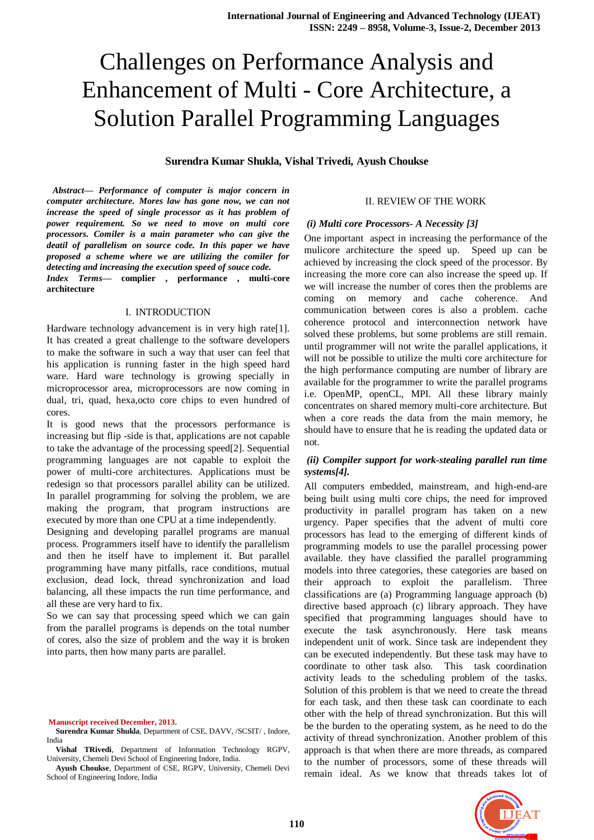# Challenges on Performance Analysis and Enhancement of Multi - Core Architecture, a Solution Parallel Programming Languages

**Surendra Kumar Shukla, Vishal Trivedi, Ayush Choukse**

*Abstract***—** *Performance of computer is major concern in computer architecture. Mores law has gone now, we can not increase the speed of single processor as it has problem of power requirement. So we need to move on multi core processors. Comiler is a main parameter who can give the deatil of parallelism on source code. In this paper we have proposed a scheme where we are utilizing the comiler for detecting and increasing the execution speed of souce code.*

*Index Terms***— complier , performance , multi-core architecture** 

#### I. INTRODUCTION

Hardware technology advancement is in very high rate[1]. It has created a great challenge to the software developers to make the software in such a way that user can feel that his application is running faster in the high speed hard ware. Hard ware technology is growing specially in microprocessor area, microprocessors are now coming in dual, tri, quad, hexa,octo core chips to even hundred of cores.

It is good news that the processors performance is increasing but flip -side is that, applications are not capable to take the advantage of the processing speed[2]. Sequential programming languages are not capable to exploit the power of multi-core architectures. Applications must be redesign so that processors parallel ability can be utilized. In parallel programming for solving the problem, we are making the program, that program instructions are executed by more than one CPU at a time independently.

Designing and developing parallel programs are manual process. Programmers itself have to identify the parallelism and then he itself have to implement it. But parallel programming have many pitfalls, race conditions, mutual exclusion, dead lock, thread synchronization and load balancing, all these impacts the run time performance, and all these are very hard to fix.

So we can say that processing speed which we can gain from the parallel programs is depends on the total number of cores, also the size of problem and the way it is broken into parts, then how many parts are parallel.

**Manuscript received December, 2013.**

**Surendra Kumar Shukla**, Department of CSE, DAVV, /SCSIT/ , Indore, India

**Vishal TRivedi**, Department of Information Technology RGPV, University, Chemeli Devi School of Engineering Indore, India.

**Ayush Choukse**, Department of CSE, RGPV, University, Chemeli Devi School of Engineering Indore, India

#### II. REVIEW OF THE WORK

#### *(i) Multi core Processors- A Necessity [3]*

One important aspect in increasing the performance of the mulicore architecture the speed up. Speed up can be achieved by increasing the clock speed of the processor. By increasing the more core can also increase the speed up. If we will increase the number of cores then the problems are coming on memory and cache coherence. And communication between cores is also a problem. cache coherence protocol and interconnection network have solved these problems, but some problems are still remain. until programmer will not write the parallel applications, it will not be possible to utilize the multi core architecture for the high performance computing are number of library are available for the programmer to write the parallel programs i.e. OpenMP, openCL, MPI. All these library mainly concentrates on shared memory multi-core architecture. But when a core reads the data from the main memory, he should have to ensure that he is reading the updated data or not.

#### *(ii) Compiler support for work-stealing parallel run time systems[4].*

All computers embedded, mainstream, and high-end-are being built using multi core chips, the need for improved productivity in parallel program has taken on a new urgency. Paper specifies that the advent of multi core processors has lead to the emerging of different kinds of programming models to use the parallel processing power available. they have classified the parallel programming models into three categories, these categories are based on their approach to exploit the parallelism. Three classifications are (a) Programming language approach (b) directive based approach (c) library approach. They have specified that programming languages should have to execute the task asynchronously. Here task means independent unit of work. Since task are independent they can be executed independently. But these task may have to coordinate to other task also. This task coordination activity leads to the scheduling problem of the tasks. Solution of this problem is that we need to create the thread for each task, and then these task can coordinate to each other with the help of thread synchronization. But this will be the burden to the operating system, as he need to do the activity of thread synchronization. Another problem of this approach is that when there are more threads, as compared to the number of processors, some of these threads will remain ideal. As we know that threads takes lot of

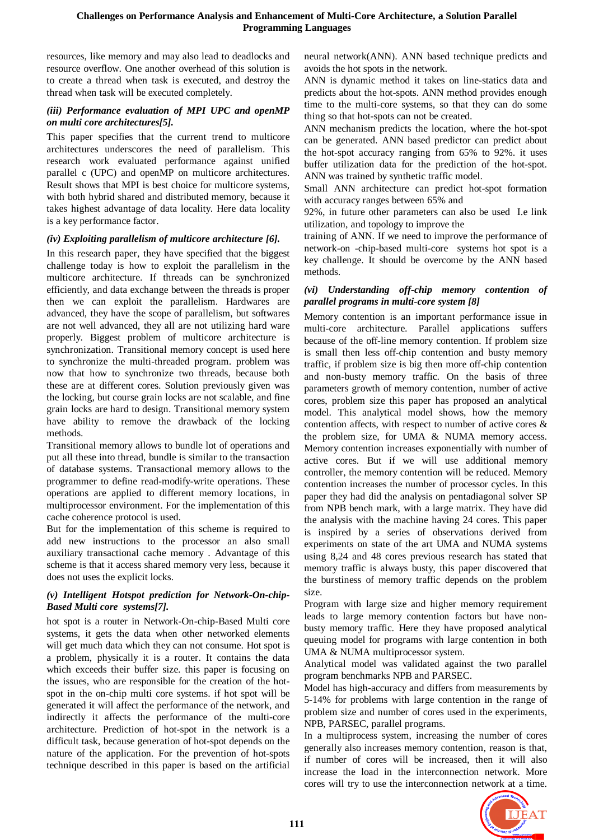resources, like memory and may also lead to deadlocks and resource overflow. One another overhead of this solution is to create a thread when task is executed, and destroy the thread when task will be executed completely.

## *(iii) Performance evaluation of MPI UPC and openMP on multi core architectures[5].*

This paper specifies that the current trend to multicore architectures underscores the need of parallelism. This research work evaluated performance against unified parallel c (UPC) and openMP on multicore architectures. Result shows that MPI is best choice for multicore systems, with both hybrid shared and distributed memory, because it takes highest advantage of data locality. Here data locality is a key performance factor.

# *(iv) Exploiting parallelism of multicore architecture [6].*

In this research paper, they have specified that the biggest challenge today is how to exploit the parallelism in the multicore architecture. If threads can be synchronized efficiently, and data exchange between the threads is proper then we can exploit the parallelism. Hardwares are advanced, they have the scope of parallelism, but softwares are not well advanced, they all are not utilizing hard ware properly. Biggest problem of multicore architecture is synchronization. Transitional memory concept is used here to synchronize the multi-threaded program. problem was now that how to synchronize two threads, because both these are at different cores. Solution previously given was the locking, but course grain locks are not scalable, and fine grain locks are hard to design. Transitional memory system have ability to remove the drawback of the locking methods.

Transitional memory allows to bundle lot of operations and put all these into thread, bundle is similar to the transaction of database systems. Transactional memory allows to the programmer to define read-modify-write operations. These operations are applied to different memory locations, in multiprocessor environment. For the implementation of this cache coherence protocol is used.

But for the implementation of this scheme is required to add new instructions to the processor an also small auxiliary transactional cache memory . Advantage of this scheme is that it access shared memory very less, because it does not uses the explicit locks.

# *(v) Intelligent Hotspot prediction for Network-On-chip-Based Multi core systems[7].*

hot spot is a router in Network-On-chip-Based Multi core systems, it gets the data when other networked elements will get much data which they can not consume. Hot spot is a problem, physically it is a router. It contains the data which exceeds their buffer size. this paper is focusing on the issues, who are responsible for the creation of the hotspot in the on-chip multi core systems. if hot spot will be generated it will affect the performance of the network, and indirectly it affects the performance of the multi-core architecture. Prediction of hot-spot in the network is a difficult task, because generation of hot-spot depends on the nature of the application. For the prevention of hot-spots technique described in this paper is based on the artificial neural network(ANN). ANN based technique predicts and avoids the hot spots in the network.

ANN is dynamic method it takes on line-statics data and predicts about the hot-spots. ANN method provides enough time to the multi-core systems, so that they can do some thing so that hot-spots can not be created.

ANN mechanism predicts the location, where the hot-spot can be generated. ANN based predictor can predict about the hot-spot accuracy ranging from 65% to 92%. it uses buffer utilization data for the prediction of the hot-spot. ANN was trained by synthetic traffic model.

Small ANN architecture can predict hot-spot formation with accuracy ranges between 65% and

92%, in future other parameters can also be used I.e link utilization, and topology to improve the

training of ANN. If we need to improve the performance of network-on -chip-based multi-core systems hot spot is a key challenge. It should be overcome by the ANN based methods.

# *(vi) Understanding off-chip memory contention of parallel programs in multi-core system [8]*

Memory contention is an important performance issue in multi-core architecture. Parallel applications suffers because of the off-line memory contention. If problem size is small then less off-chip contention and busty memory traffic, if problem size is big then more off-chip contention and non-busty memory traffic. On the basis of three parameters growth of memory contention, number of active cores, problem size this paper has proposed an analytical model. This analytical model shows, how the memory contention affects, with respect to number of active cores & the problem size, for UMA & NUMA memory access. Memory contention increases exponentially with number of active cores. But if we will use additional memory controller, the memory contention will be reduced. Memory contention increases the number of processor cycles. In this paper they had did the analysis on pentadiagonal solver SP from NPB bench mark, with a large matrix. They have did the analysis with the machine having 24 cores. This paper is inspired by a series of observations derived from experiments on state of the art UMA and NUMA systems using 8,24 and 48 cores previous research has stated that memory traffic is always busty, this paper discovered that the burstiness of memory traffic depends on the problem size.

Program with large size and higher memory requirement leads to large memory contention factors but have nonbusty memory traffic. Here they have proposed analytical queuing model for programs with large contention in both UMA & NUMA multiprocessor system.

Analytical model was validated against the two parallel program benchmarks NPB and PARSEC.

Model has high-accuracy and differs from measurements by 5-14% for problems with large contention in the range of problem size and number of cores used in the experiments, NPB, PARSEC, parallel programs.

In a multiprocess system, increasing the number of cores generally also increases memory contention, reason is that, if number of cores will be increased, then it will also increase the load in the interconnection network. More cores will try to use the interconnection network at a time.

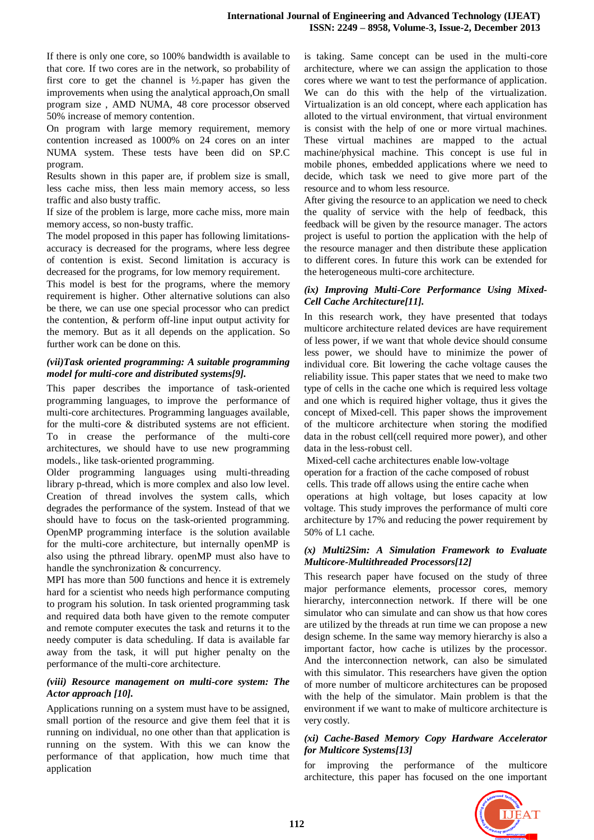If there is only one core, so 100% bandwidth is available to that core. If two cores are in the network, so probability of first core to get the channel is ½.paper has given the improvements when using the analytical approach,On small program size , AMD NUMA, 48 core processor observed 50% increase of memory contention.

On program with large memory requirement, memory contention increased as 1000% on 24 cores on an inter NUMA system. These tests have been did on SP.C program.

Results shown in this paper are, if problem size is small, less cache miss, then less main memory access, so less traffic and also busty traffic.

If size of the problem is large, more cache miss, more main memory access, so non-busty traffic.

The model proposed in this paper has following limitationsaccuracy is decreased for the programs, where less degree of contention is exist. Second limitation is accuracy is decreased for the programs, for low memory requirement.

This model is best for the programs, where the memory requirement is higher. Other alternative solutions can also be there, we can use one special processor who can predict the contention, & perform off-line input output activity for the memory. But as it all depends on the application. So further work can be done on this.

# *(vii)Task oriented programming: A suitable programming model for multi-core and distributed systems[9].*

This paper describes the importance of task-oriented programming languages, to improve the performance of multi-core architectures. Programming languages available, for the multi-core & distributed systems are not efficient. To in crease the performance of the multi-core architectures, we should have to use new programming models., like task-oriented programming.

Older programming languages using multi-threading library p-thread, which is more complex and also low level. Creation of thread involves the system calls, which degrades the performance of the system. Instead of that we should have to focus on the task-oriented programming. OpenMP programming interface is the solution available for the multi-core architecture, but internally openMP is also using the pthread library. openMP must also have to handle the synchronization & concurrency.

MPI has more than 500 functions and hence it is extremely hard for a scientist who needs high performance computing to program his solution. In task oriented programming task and required data both have given to the remote computer and remote computer executes the task and returns it to the needy computer is data scheduling. If data is available far away from the task, it will put higher penalty on the performance of the multi-core architecture.

## *(viii) Resource management on multi-core system: The Actor approach [10].*

Applications running on a system must have to be assigned, small portion of the resource and give them feel that it is running on individual, no one other than that application is running on the system. With this we can know the performance of that application, how much time that application

is taking. Same concept can be used in the multi-core architecture, where we can assign the application to those cores where we want to test the performance of application. We can do this with the help of the virtualization. Virtualization is an old concept, where each application has alloted to the virtual environment, that virtual environment is consist with the help of one or more virtual machines. These virtual machines are mapped to the actual machine/physical machine. This concept is use ful in mobile phones, embedded applications where we need to decide, which task we need to give more part of the resource and to whom less resource.

After giving the resource to an application we need to check the quality of service with the help of feedback, this feedback will be given by the resource manager. The actors project is useful to portion the application with the help of the resource manager and then distribute these application to different cores. In future this work can be extended for the heterogeneous multi-core architecture.

## *(ix) Improving Multi-Core Performance Using Mixed-Cell Cache Architecture[11].*

In this research work, they have presented that todays multicore architecture related devices are have requirement of less power, if we want that whole device should consume less power, we should have to minimize the power of individual core. Bit lowering the cache voltage causes the reliability issue. This paper states that we need to make two type of cells in the cache one which is required less voltage and one which is required higher voltage, thus it gives the concept of Mixed-cell. This paper shows the improvement of the multicore architecture when storing the modified data in the robust cell(cell required more power), and other data in the less-robust cell.

Mixed-cell cache architectures enable low-voltage operation for a fraction of the cache composed of robust cells. This trade off allows using the entire cache when operations at high voltage, but loses capacity at low voltage. This study improves the performance of multi core architecture by 17% and reducing the power requirement by 50% of L1 cache.

# *(x) Multi2Sim: A Simulation Framework to Evaluate Multicore-Multithreaded Processors[12]*

This research paper have focused on the study of three major performance elements, processor cores, memory hierarchy, interconnection network. If there will be one simulator who can simulate and can show us that how cores are utilized by the threads at run time we can propose a new design scheme. In the same way memory hierarchy is also a important factor, how cache is utilizes by the processor. And the interconnection network, can also be simulated with this simulator. This researchers have given the option of more number of multicore architectures can be proposed with the help of the simulator. Main problem is that the environment if we want to make of multicore architecture is very costly.

## *(xi) Cache-Based Memory Copy Hardware Accelerator for Multicore Systems[13]*

for improving the performance of the multicore architecture, this paper has focused on the one important

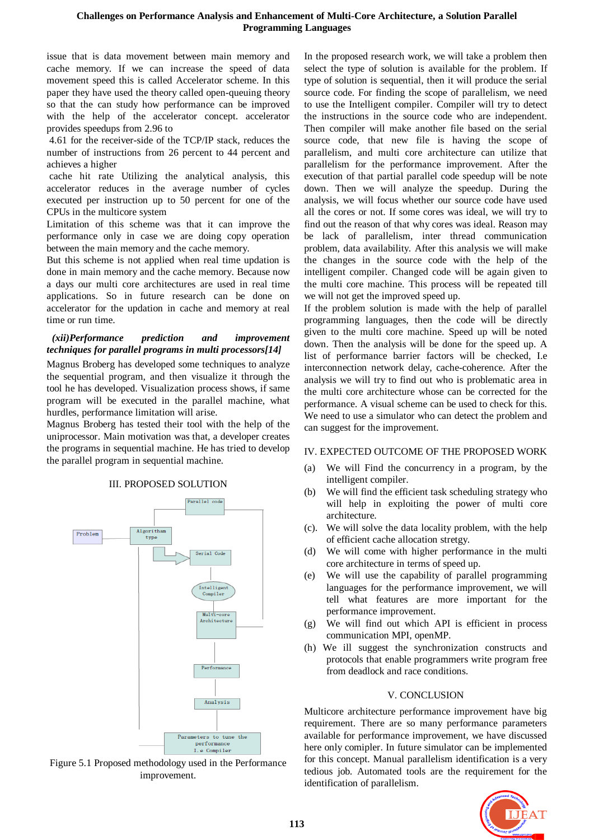#### **Challenges on Performance Analysis and Enhancement of Multi-Core Architecture, a Solution Parallel Programming Languages**

issue that is data movement between main memory and cache memory. If we can increase the speed of data movement speed this is called Accelerator scheme. In this paper they have used the theory called open-queuing theory so that the can study how performance can be improved with the help of the accelerator concept. accelerator provides speedups from 2.96 to

4.61 for the receiver-side of the TCP/IP stack, reduces the number of instructions from 26 percent to 44 percent and achieves a higher

cache hit rate Utilizing the analytical analysis, this accelerator reduces in the average number of cycles executed per instruction up to 50 percent for one of the CPUs in the multicore system

Limitation of this scheme was that it can improve the performance only in case we are doing copy operation between the main memory and the cache memory.

But this scheme is not applied when real time updation is done in main memory and the cache memory. Because now a days our multi core architectures are used in real time applications. So in future research can be done on accelerator for the updation in cache and memory at real time or run time.

# *(xii)Performance prediction and improvement techniques for parallel programs in multi processors[14]*

Magnus Broberg has developed some techniques to analyze the sequential program, and then visualize it through the tool he has developed. Visualization process shows, if same program will be executed in the parallel machine, what hurdles, performance limitation will arise.

Magnus Broberg has tested their tool with the help of the uniprocessor. Main motivation was that, a developer creates the programs in sequential machine. He has tried to develop the parallel program in sequential machine.

#### III. PROPOSED SOLUTION



Figure 5.1 Proposed methodology used in the Performance improvement.

In the proposed research work, we will take a problem then select the type of solution is available for the problem. If type of solution is sequential, then it will produce the serial source code. For finding the scope of parallelism, we need to use the Intelligent compiler. Compiler will try to detect the instructions in the source code who are independent. Then compiler will make another file based on the serial source code, that new file is having the scope of parallelism, and multi core architecture can utilize that parallelism for the performance improvement. After the execution of that partial parallel code speedup will be note down. Then we will analyze the speedup. During the analysis, we will focus whether our source code have used all the cores or not. If some cores was ideal, we will try to find out the reason of that why cores was ideal. Reason may be lack of parallelism, inter thread communication problem, data availability. After this analysis we will make the changes in the source code with the help of the intelligent compiler. Changed code will be again given to the multi core machine. This process will be repeated till we will not get the improved speed up.

If the problem solution is made with the help of parallel programming languages, then the code will be directly given to the multi core machine. Speed up will be noted down. Then the analysis will be done for the speed up. A list of performance barrier factors will be checked, I.e interconnection network delay, cache-coherence. After the analysis we will try to find out who is problematic area in the multi core architecture whose can be corrected for the performance. A visual scheme can be used to check for this. We need to use a simulator who can detect the problem and can suggest for the improvement.

# IV. EXPECTED OUTCOME OF THE PROPOSED WORK

- (a) We will Find the concurrency in a program, by the intelligent compiler.
- (b) We will find the efficient task scheduling strategy who will help in exploiting the power of multi core architecture.
- (c). We will solve the data locality problem, with the help of efficient cache allocation stretgy.
- (d) We will come with higher performance in the multi core architecture in terms of speed up.
- (e) We will use the capability of parallel programming languages for the performance improvement, we will tell what features are more important for the performance improvement.
- (g) We will find out which API is efficient in process communication MPI, openMP.
- (h) We ill suggest the synchronization constructs and protocols that enable programmers write program free from deadlock and race conditions.

# V. CONCLUSION

Multicore architecture performance improvement have big requirement. There are so many performance parameters available for performance improvement, we have discussed here only comipler. In future simulator can be implemented for this concept. Manual parallelism identification is a very tedious job. Automated tools are the requirement for the identification of parallelism.